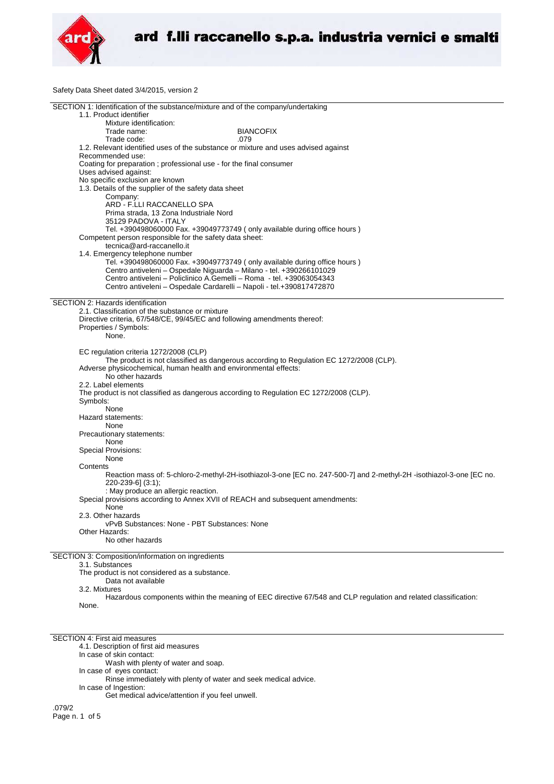

Safety Data Sheet dated 3/4/2015, version 2

| SECTION 1: Identification of the substance/mixture and of the company/undertaking      |                                                                                                                      |
|----------------------------------------------------------------------------------------|----------------------------------------------------------------------------------------------------------------------|
| 1.1. Product identifier                                                                |                                                                                                                      |
| Mixture identification:                                                                |                                                                                                                      |
| Trade name:                                                                            |                                                                                                                      |
|                                                                                        | <b>BIANCOFIX</b>                                                                                                     |
| Trade code:                                                                            | .079                                                                                                                 |
| 1.2. Relevant identified uses of the substance or mixture and uses advised against     |                                                                                                                      |
| Recommended use:                                                                       |                                                                                                                      |
|                                                                                        |                                                                                                                      |
| Coating for preparation; professional use - for the final consumer                     |                                                                                                                      |
| Uses advised against:                                                                  |                                                                                                                      |
| No specific exclusion are known                                                        |                                                                                                                      |
| 1.3. Details of the supplier of the safety data sheet                                  |                                                                                                                      |
|                                                                                        |                                                                                                                      |
| Company:                                                                               |                                                                                                                      |
| ARD - F.LLI RACCANELLO SPA                                                             |                                                                                                                      |
| Prima strada, 13 Zona Industriale Nord                                                 |                                                                                                                      |
| 35129 PADOVA - ITALY                                                                   |                                                                                                                      |
|                                                                                        |                                                                                                                      |
| Tel. +390498060000 Fax. +39049773749 (only available during office hours)              |                                                                                                                      |
| Competent person responsible for the safety data sheet:                                |                                                                                                                      |
| tecnica@ard-raccanello.it                                                              |                                                                                                                      |
| 1.4. Emergency telephone number                                                        |                                                                                                                      |
|                                                                                        |                                                                                                                      |
| Tel. +390498060000 Fax. +39049773749 (only available during office hours)              |                                                                                                                      |
| Centro antiveleni - Ospedale Niguarda - Milano - tel. +390266101029                    |                                                                                                                      |
| Centro antiveleni - Policlinico A.Gemelli - Roma - tel. +39063054343                   |                                                                                                                      |
| Centro antiveleni - Ospedale Cardarelli - Napoli - tel.+390817472870                   |                                                                                                                      |
|                                                                                        |                                                                                                                      |
| SECTION 2: Hazards identification                                                      |                                                                                                                      |
|                                                                                        |                                                                                                                      |
| 2.1. Classification of the substance or mixture                                        |                                                                                                                      |
| Directive criteria, 67/548/CE, 99/45/EC and following amendments thereof:              |                                                                                                                      |
| Properties / Symbols:                                                                  |                                                                                                                      |
| None.                                                                                  |                                                                                                                      |
|                                                                                        |                                                                                                                      |
|                                                                                        |                                                                                                                      |
| EC regulation criteria 1272/2008 (CLP)                                                 |                                                                                                                      |
|                                                                                        | The product is not classified as dangerous according to Regulation EC 1272/2008 (CLP).                               |
|                                                                                        |                                                                                                                      |
| Adverse physicochemical, human health and environmental effects:                       |                                                                                                                      |
| No other hazards                                                                       |                                                                                                                      |
| 2.2. Label elements                                                                    |                                                                                                                      |
| The product is not classified as dangerous according to Regulation EC 1272/2008 (CLP). |                                                                                                                      |
|                                                                                        |                                                                                                                      |
| Symbols:                                                                               |                                                                                                                      |
| None                                                                                   |                                                                                                                      |
| Hazard statements:                                                                     |                                                                                                                      |
| None                                                                                   |                                                                                                                      |
|                                                                                        |                                                                                                                      |
| Precautionary statements:                                                              |                                                                                                                      |
| None                                                                                   |                                                                                                                      |
| <b>Special Provisions:</b>                                                             |                                                                                                                      |
| None                                                                                   |                                                                                                                      |
|                                                                                        |                                                                                                                      |
| Contents                                                                               |                                                                                                                      |
|                                                                                        | Reaction mass of: 5-chloro-2-methyl-2H-isothiazol-3-one [EC no. 247-500-7] and 2-methyl-2H -isothiazol-3-one [EC no. |
| 220-239-61 (3:1);                                                                      |                                                                                                                      |
| : May produce an allergic reaction.                                                    |                                                                                                                      |
| Special provisions according to Annex XVII of REACH and subsequent amendments:         |                                                                                                                      |
|                                                                                        |                                                                                                                      |
| None                                                                                   |                                                                                                                      |
| 2.3. Other hazards                                                                     |                                                                                                                      |
| vPvB Substances: None - PBT Substances: None                                           |                                                                                                                      |
| Other Hazards:                                                                         |                                                                                                                      |
|                                                                                        |                                                                                                                      |
| No other hazards                                                                       |                                                                                                                      |
|                                                                                        |                                                                                                                      |
| SECTION 3: Composition/information on ingredients                                      |                                                                                                                      |
| 3.1. Substances                                                                        |                                                                                                                      |
| The product is not considered as a substance.                                          |                                                                                                                      |
| Data not available                                                                     |                                                                                                                      |
| 3.2. Mixtures                                                                          |                                                                                                                      |
|                                                                                        |                                                                                                                      |
|                                                                                        | Hazardous components within the meaning of EEC directive 67/548 and CLP regulation and related classification:       |
| None.                                                                                  |                                                                                                                      |

SECTION 4: First aid measures

4.1. Description of first aid measures

In case of skin contact:

Wash with plenty of water and soap.

In case of eyes contact:

Rinse immediately with plenty of water and seek medical advice. In case of Ingestion:

Get medical advice/attention if you feel unwell.

.079/2 Page n. 1 of 5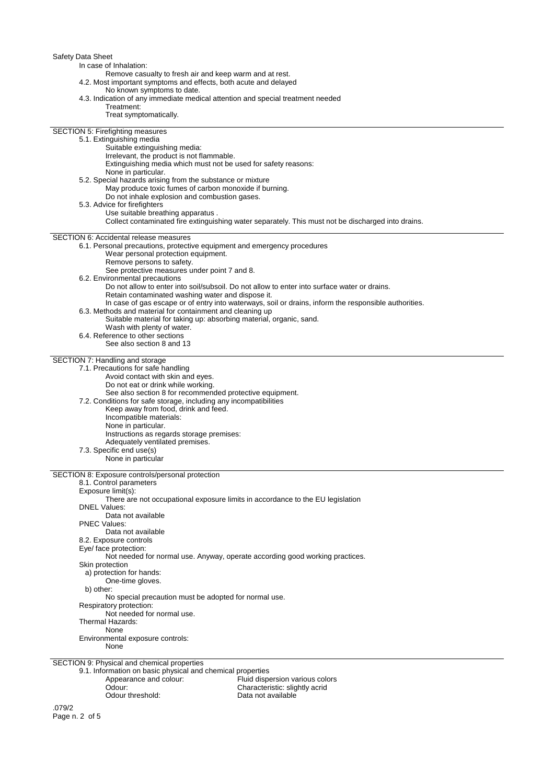| Safety Data Sheet<br>In case of Inhalation:<br>Remove casualty to fresh air and keep warm and at rest.<br>4.2. Most important symptoms and effects, both acute and delayed<br>No known symptoms to date.<br>4.3. Indication of any immediate medical attention and special treatment needed<br>Treatment:<br>Treat symptomatically.<br><b>SECTION 5: Firefighting measures</b><br>5.1. Extinguishing media<br>Suitable extinguishing media:<br>Irrelevant, the product is not flammable.<br>Extinguishing media which must not be used for safety reasons:<br>None in particular.<br>5.2. Special hazards arising from the substance or mixture<br>May produce toxic fumes of carbon monoxide if burning.                                                                        |
|----------------------------------------------------------------------------------------------------------------------------------------------------------------------------------------------------------------------------------------------------------------------------------------------------------------------------------------------------------------------------------------------------------------------------------------------------------------------------------------------------------------------------------------------------------------------------------------------------------------------------------------------------------------------------------------------------------------------------------------------------------------------------------|
| Do not inhale explosion and combustion gases.<br>5.3. Advice for firefighters<br>Use suitable breathing apparatus.<br>Collect contaminated fire extinguishing water separately. This must not be discharged into drains.                                                                                                                                                                                                                                                                                                                                                                                                                                                                                                                                                         |
| <b>SECTION 6: Accidental release measures</b><br>6.1. Personal precautions, protective equipment and emergency procedures<br>Wear personal protection equipment.<br>Remove persons to safety.<br>See protective measures under point 7 and 8.<br>6.2. Environmental precautions<br>Do not allow to enter into soil/subsoil. Do not allow to enter into surface water or drains.<br>Retain contaminated washing water and dispose it.<br>In case of gas escape or of entry into waterways, soil or drains, inform the responsible authorities.<br>6.3. Methods and material for containment and cleaning up<br>Suitable material for taking up: absorbing material, organic, sand.<br>Wash with plenty of water.<br>6.4. Reference to other sections<br>See also section 8 and 13 |
| SECTION 7: Handling and storage<br>7.1. Precautions for safe handling<br>Avoid contact with skin and eyes.<br>Do not eat or drink while working.<br>See also section 8 for recommended protective equipment.<br>7.2. Conditions for safe storage, including any incompatibilities<br>Keep away from food, drink and feed.<br>Incompatible materials:<br>None in particular.<br>Instructions as regards storage premises:<br>Adequately ventilated premises.<br>7.3. Specific end use(s)<br>None in particular                                                                                                                                                                                                                                                                    |
| SECTION 8: Exposure controls/personal protection<br>8.1. Control parameters<br>Exposure limit(s):<br>There are not occupational exposure limits in accordance to the EU legislation<br><b>DNEL Values:</b><br>Data not available<br><b>PNEC Values:</b><br>Data not available<br>8.2. Exposure controls<br>Eye/ face protection:<br>Not needed for normal use. Anyway, operate according good working practices.<br>Skin protection<br>a) protection for hands:<br>One-time gloves.<br>b) other:<br>No special precaution must be adopted for normal use.<br>Respiratory protection:<br>Not needed for normal use.<br>Thermal Hazards:<br>None<br>Environmental exposure controls:<br>None                                                                                       |
| SECTION 9: Physical and chemical properties<br>9.1. Information on basic physical and chemical properties<br>Appearance and colour:<br>Fluid dispersion various colors<br>Odour:<br>Characteristic: slightly acrid<br>Odour threshold:<br>Data not available<br>.079/2                                                                                                                                                                                                                                                                                                                                                                                                                                                                                                           |

Page n. 2 of 5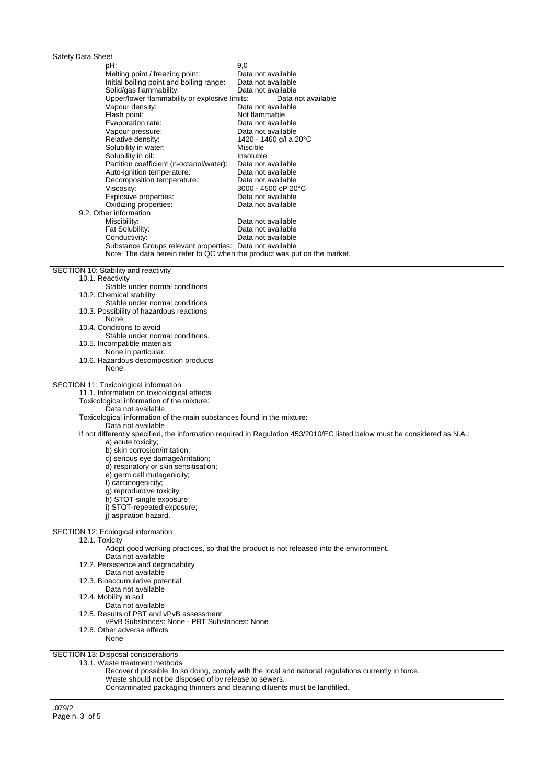| <b>Safety Data Sheet</b><br>pH:                                                              | 9,0                                                                                                                       |  |
|----------------------------------------------------------------------------------------------|---------------------------------------------------------------------------------------------------------------------------|--|
| Melting point / freezing point:                                                              | Data not available                                                                                                        |  |
| Initial boiling point and boiling range:                                                     | Data not available                                                                                                        |  |
| Solid/gas flammability:                                                                      | Data not available                                                                                                        |  |
| Upper/lower flammability or explosive limits:                                                | Data not available                                                                                                        |  |
| Vapour density:                                                                              | Data not available                                                                                                        |  |
| Flash point:<br>Evaporation rate:                                                            | Not flammable<br>Data not available                                                                                       |  |
| Vapour pressure:                                                                             | Data not available                                                                                                        |  |
| Relative density:                                                                            | 1420 - 1460 g/l a 20°C                                                                                                    |  |
| Solubility in water:                                                                         | Miscible                                                                                                                  |  |
| Solubility in oil:                                                                           | Insoluble                                                                                                                 |  |
| Partition coefficient (n-octanol/water):                                                     | Data not available                                                                                                        |  |
| Auto-ignition temperature:<br>Decomposition temperature:                                     | Data not available<br>Data not available                                                                                  |  |
| Viscosity:                                                                                   | 3000 - 4500 cP 20°C                                                                                                       |  |
| Explosive properties:                                                                        | Data not available                                                                                                        |  |
| Oxidizing properties:                                                                        | Data not available                                                                                                        |  |
| 9.2. Other information                                                                       |                                                                                                                           |  |
| Miscibility:                                                                                 | Data not available                                                                                                        |  |
| Fat Solubility:<br>Conductivity:                                                             | Data not available<br>Data not available                                                                                  |  |
| Substance Groups relevant properties: Data not available                                     |                                                                                                                           |  |
| Note: The data herein refer to QC when the product was put on the market.                    |                                                                                                                           |  |
|                                                                                              |                                                                                                                           |  |
| SECTION 10: Stability and reactivity<br>10.1. Reactivity                                     |                                                                                                                           |  |
| Stable under normal conditions                                                               |                                                                                                                           |  |
| 10.2. Chemical stability                                                                     |                                                                                                                           |  |
| Stable under normal conditions                                                               |                                                                                                                           |  |
| 10.3. Possibility of hazardous reactions                                                     |                                                                                                                           |  |
| None<br>10.4. Conditions to avoid                                                            |                                                                                                                           |  |
| Stable under normal conditions.                                                              |                                                                                                                           |  |
| 10.5. Incompatible materials                                                                 |                                                                                                                           |  |
| None in particular.                                                                          |                                                                                                                           |  |
| 10.6. Hazardous decomposition products<br>None.                                              |                                                                                                                           |  |
|                                                                                              |                                                                                                                           |  |
| SECTION 11: Toxicological information                                                        |                                                                                                                           |  |
| 11.1. Information on toxicological effects                                                   |                                                                                                                           |  |
| Toxicological information of the mixture:                                                    |                                                                                                                           |  |
| Data not available<br>Toxicological information of the main substances found in the mixture: |                                                                                                                           |  |
| Data not available                                                                           |                                                                                                                           |  |
|                                                                                              | If not differently specified, the information required in Regulation 453/2010/EC listed below must be considered as N.A.: |  |
| a) acute toxicity;                                                                           |                                                                                                                           |  |
| b) skin corrosion/irritation;                                                                |                                                                                                                           |  |
| c) serious eye damage/irritation;                                                            |                                                                                                                           |  |
| d) respiratory or skin sensitisation;<br>e) germ cell mutagenicity;                          |                                                                                                                           |  |
| f) carcinogenicity;                                                                          |                                                                                                                           |  |
| g) reproductive toxicity;                                                                    |                                                                                                                           |  |
| h) STOT-single exposure;                                                                     |                                                                                                                           |  |
| i) STOT-repeated exposure;                                                                   |                                                                                                                           |  |
| i) aspiration hazard.                                                                        |                                                                                                                           |  |
| SECTION 12: Ecological information                                                           |                                                                                                                           |  |
| 12.1. Toxicity                                                                               |                                                                                                                           |  |
|                                                                                              | Adopt good working practices, so that the product is not released into the environment.                                   |  |
| Data not available                                                                           |                                                                                                                           |  |
| 12.2. Persistence and degradability<br>Data not available                                    |                                                                                                                           |  |
| 12.3. Bioaccumulative potential                                                              |                                                                                                                           |  |
| Data not available                                                                           |                                                                                                                           |  |
| 12.4. Mobility in soil                                                                       |                                                                                                                           |  |
| Data not available                                                                           |                                                                                                                           |  |
| 12.5. Results of PBT and vPvB assessment                                                     |                                                                                                                           |  |
| vPvB Substances: None - PBT Substances: None<br>12.6. Other adverse effects                  |                                                                                                                           |  |
| None                                                                                         |                                                                                                                           |  |
|                                                                                              |                                                                                                                           |  |
| SECTION 13: Disposal considerations                                                          |                                                                                                                           |  |

13.1. Waste treatment methods

- Recover if possible. In so doing, comply with the local and national regulations currently in force.
- Waste should not be disposed of by release to sewers.
	- Contaminated packaging thinners and cleaning diluents must be landfilled.

.079/2 Page n. 3 of 5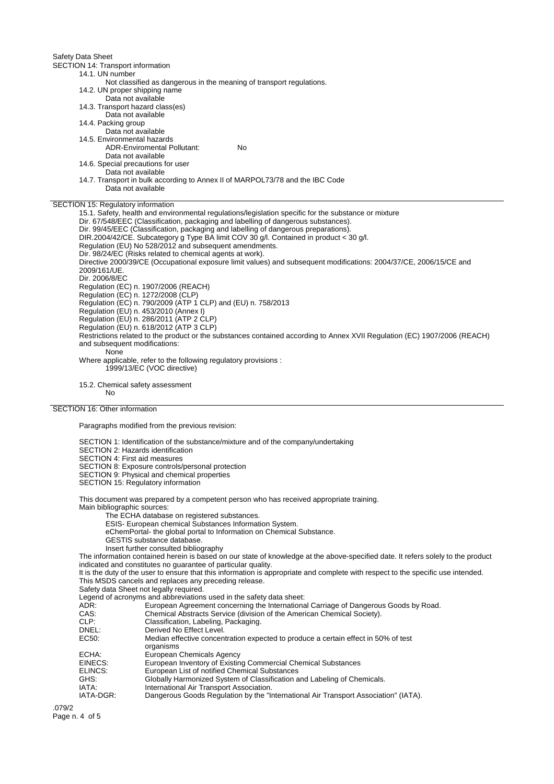Safety Data Sheet

SECTION 14: Transport information

- 14.1. UN number Not classified as dangerous in the meaning of transport regulations.
- 14.2. UN proper shipping name
- Data not available
- 14.3. Transport hazard class(es)
- Data not available
- 14.4. Packing group
	- Data not available
- 14.5. Environmental hazards ADR-Enviromental Pollutant: No
	-
- Data not available
- 14.6. Special precautions for user
- Data not available
- 14.7. Transport in bulk according to Annex II of MARPOL73/78 and the IBC Code Data not available

SECTION 15: Regulatory information

15.1. Safety, health and environmental regulations/legislation specific for the substance or mixture Dir. 67/548/EEC (Classification, packaging and labelling of dangerous substances). Dir. 99/45/EEC (Classification, packaging and labelling of dangerous preparations). DIR.2004/42/CE. Subcategory g Type BA limit COV 30 g/l. Contained in product < 30 g/l. Regulation (EU) No 528/2012 and subsequent amendments. Dir. 98/24/EC (Risks related to chemical agents at work). Directive 2000/39/CE (Occupational exposure limit values) and subsequent modifications: 2004/37/CE, 2006/15/CE and 2009/161/UE. Dir. 2006/8/EC Regulation (EC) n. 1907/2006 (REACH) Regulation (EC) n. 1272/2008 (CLP) Regulation (EC) n. 790/2009 (ATP 1 CLP) and (EU) n. 758/2013 Regulation (EU) n. 453/2010 (Annex I) Regulation (EU) n. 286/2011 (ATP 2 CLP) Regulation (EU) n. 618/2012 (ATP 3 CLP) Restrictions related to the product or the substances contained according to Annex XVII Regulation (EC) 1907/2006 (REACH) and subsequent modifications: None Where applicable, refer to the following regulatory provisions : 1999/13/EC (VOC directive)

15.2. Chemical safety assessment No

## SECTION 16: Other information

Paragraphs modified from the previous revision:

- SECTION 1: Identification of the substance/mixture and of the company/undertaking
- SECTION 2: Hazards identification
- SECTION 4: First aid measures
- SECTION 8: Exposure controls/personal protection
- SECTION 9: Physical and chemical properties
- SECTION 15: Regulatory information

This document was prepared by a competent person who has received appropriate training. Main bibliographic sources:

- The ECHA database on registered substances.
- ESIS- European chemical Substances Information System.
- eChemPortal- the global portal to Information on Chemical Substance.
- GESTIS substance database.
- Insert further consulted bibliography

The information contained herein is based on our state of knowledge at the above-specified date. It refers solely to the product indicated and constitutes no guarantee of particular quality.

It is the duty of the user to ensure that this information is appropriate and complete with respect to the specific use intended. This MSDS cancels and replaces any preceding release.

Safety data Sheet not legally required.

Legend of acronyms and abbreviations used in the safety data sheet:<br>ADR: European Agreement concerning the Internationa

- ADR: European Agreement concerning the International Carriage of Dangerous Goods by Road.<br>CAS: Chemical Abstracts Service (division of the American Chemical Society).
	- Chemical Abstracts Service (division of the American Chemical Society).
- CLP: Classification, Labeling, Packaging.<br>
Derived No Fffect Level.
- DNEL:<br>
Derived No Effect Level.<br>
EC50: Median effective concer
	- Median effective concentration expected to produce a certain effect in 50% of test organisms
- ECHA: European Chemicals Agency<br>EINECS: European Inventory of Existin
- EINECS: European Inventory of Existing Commercial Chemical Substances<br>ELINCS: European List of notified Chemical Substances
- European List of notified Chemical Substances
- GHS: Globally Harmonized System of Classification and Labeling of Chemicals.<br>
IATA: International Air Transport Association.
- IATA: International Air Transport Association.<br>IATA-DGR: Dangerous Goods Regulation by the "In
- Dangerous Goods Regulation by the "International Air Transport Association" (IATA).

.079/2 Page n. 4 of 5